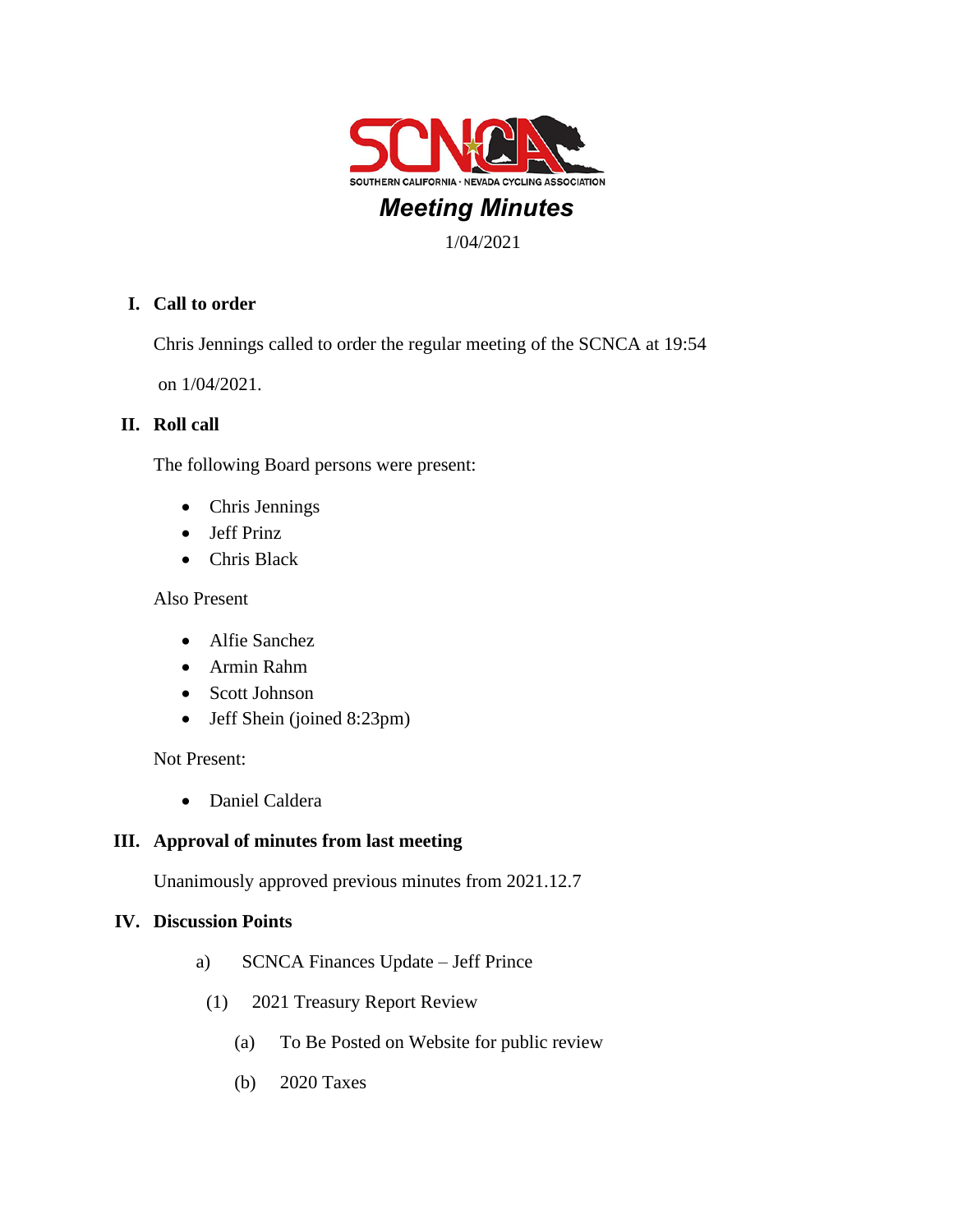

# *Meeting Minutes*

1/04/2021

# **I. Call to order**

Chris Jennings called to order the regular meeting of the SCNCA at 19:54

on 1/04/2021.

# **II. Roll call**

The following Board persons were present:

- Chris Jennings
- Jeff Prinz
- Chris Black

### Also Present

- Alfie Sanchez
- Armin Rahm
- Scott Johnson
- Jeff Shein (joined 8:23pm)

Not Present:

• Daniel Caldera

# **III. Approval of minutes from last meeting**

Unanimously approved previous minutes from 2021.12.7

### **IV. Discussion Points**

- a) SCNCA Finances Update Jeff Prince
- (1) 2021 Treasury Report Review
	- (a) To Be Posted on Website for public review
	- (b) 2020 Taxes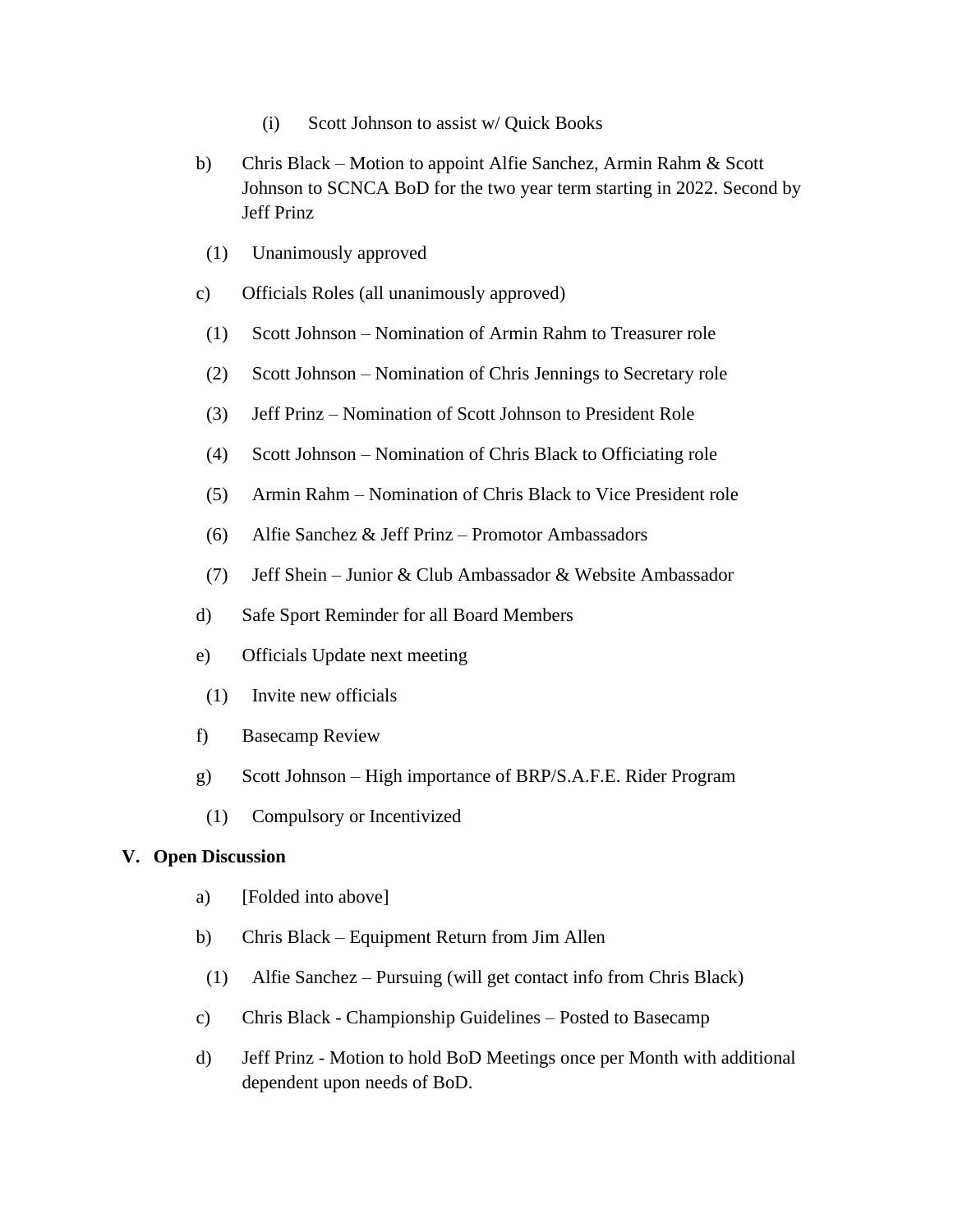- (i) Scott Johnson to assist w/ Quick Books
- b) Chris Black Motion to appoint Alfie Sanchez, Armin Rahm & Scott Johnson to SCNCA BoD for the two year term starting in 2022. Second by Jeff Prinz
- (1) Unanimously approved
- c) Officials Roles (all unanimously approved)
- (1) Scott Johnson Nomination of Armin Rahm to Treasurer role
- (2) Scott Johnson Nomination of Chris Jennings to Secretary role
- (3) Jeff Prinz Nomination of Scott Johnson to President Role
- (4) Scott Johnson Nomination of Chris Black to Officiating role
- (5) Armin Rahm Nomination of Chris Black to Vice President role
- (6) Alfie Sanchez & Jeff Prinz Promotor Ambassadors
- (7) Jeff Shein Junior & Club Ambassador & Website Ambassador
- d) Safe Sport Reminder for all Board Members
- e) Officials Update next meeting
- (1) Invite new officials
- f) Basecamp Review
- g) Scott Johnson High importance of BRP/S.A.F.E. Rider Program
- (1) Compulsory or Incentivized

#### **V. Open Discussion**

- a) [Folded into above]
- b) Chris Black Equipment Return from Jim Allen
- (1) Alfie Sanchez Pursuing (will get contact info from Chris Black)
- c) Chris Black Championship Guidelines Posted to Basecamp
- d) Jeff Prinz Motion to hold BoD Meetings once per Month with additional dependent upon needs of BoD.